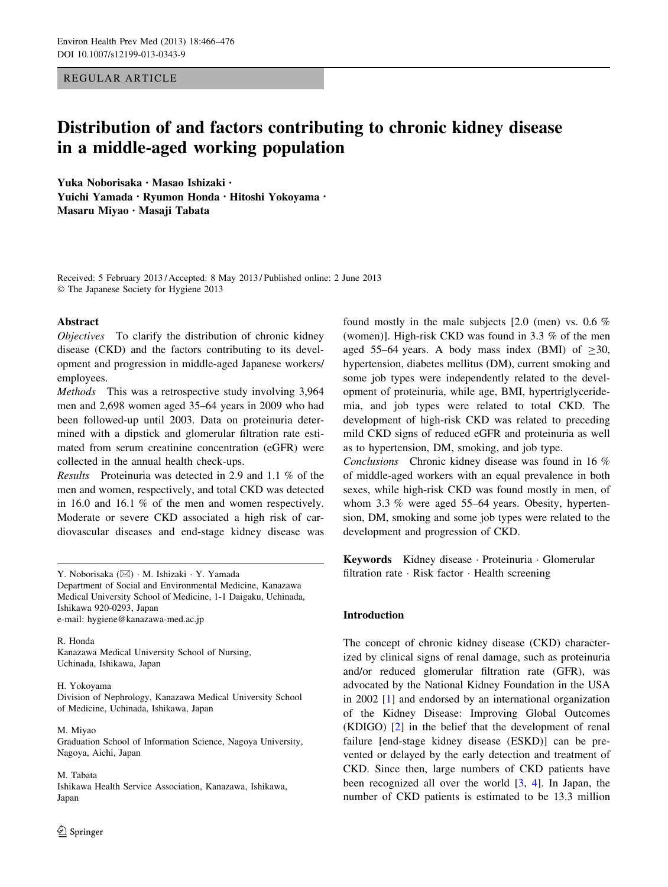REGULAR ARTICLE

# Distribution of and factors contributing to chronic kidney disease in a middle-aged working population

Yuka Noborisaka • Masao Ishizaki • Yuichi Yamada • Ryumon Honda • Hitoshi Yokoyama • Masaru Miyao • Masaji Tabata

Received: 5 February 2013 / Accepted: 8 May 2013 / Published online: 2 June 2013 - The Japanese Society for Hygiene 2013

#### Abstract

Objectives To clarify the distribution of chronic kidney disease (CKD) and the factors contributing to its development and progression in middle-aged Japanese workers/ employees.

Methods This was a retrospective study involving 3,964 men and 2,698 women aged 35–64 years in 2009 who had been followed-up until 2003. Data on proteinuria determined with a dipstick and glomerular filtration rate estimated from serum creatinine concentration (eGFR) were collected in the annual health check-ups.

Results Proteinuria was detected in 2.9 and 1.1 % of the men and women, respectively, and total CKD was detected in 16.0 and 16.1 % of the men and women respectively. Moderate or severe CKD associated a high risk of cardiovascular diseases and end-stage kidney disease was

Y. Noborisaka (⊠) · M. Ishizaki · Y. Yamada Department of Social and Environmental Medicine, Kanazawa Medical University School of Medicine, 1-1 Daigaku, Uchinada, Ishikawa 920-0293, Japan e-mail: hygiene@kanazawa-med.ac.jp

R. Honda Kanazawa Medical University School of Nursing, Uchinada, Ishikawa, Japan

#### H. Yokoyama

Division of Nephrology, Kanazawa Medical University School of Medicine, Uchinada, Ishikawa, Japan

M. Miyao Graduation School of Information Science, Nagoya University, Nagoya, Aichi, Japan

M. Tabata Ishikawa Health Service Association, Kanazawa, Ishikawa, Japan

found mostly in the male subjects [2.0 (men) vs. 0.6 % (women)]. High-risk CKD was found in 3.3 % of the men aged 55–64 years. A body mass index (BMI) of  $>30$ , hypertension, diabetes mellitus (DM), current smoking and some job types were independently related to the development of proteinuria, while age, BMI, hypertriglyceridemia, and job types were related to total CKD. The development of high-risk CKD was related to preceding mild CKD signs of reduced eGFR and proteinuria as well as to hypertension, DM, smoking, and job type.

Conclusions Chronic kidney disease was found in 16 % of middle-aged workers with an equal prevalence in both sexes, while high-risk CKD was found mostly in men, of whom 3.3 % were aged 55–64 years. Obesity, hypertension, DM, smoking and some job types were related to the development and progression of CKD.

Keywords Kidney disease - Proteinuria - Glomerular filtration rate · Risk factor · Health screening

# Introduction

The concept of chronic kidney disease (CKD) characterized by clinical signs of renal damage, such as proteinuria and/or reduced glomerular filtration rate (GFR), was advocated by the National Kidney Foundation in the USA in 2002 [\[1](#page-8-0)] and endorsed by an international organization of the Kidney Disease: Improving Global Outcomes (KDIGO) [\[2](#page-8-0)] in the belief that the development of renal failure [end-stage kidney disease (ESKD)] can be prevented or delayed by the early detection and treatment of CKD. Since then, large numbers of CKD patients have been recognized all over the world [\[3](#page-8-0), [4](#page-8-0)]. In Japan, the number of CKD patients is estimated to be 13.3 million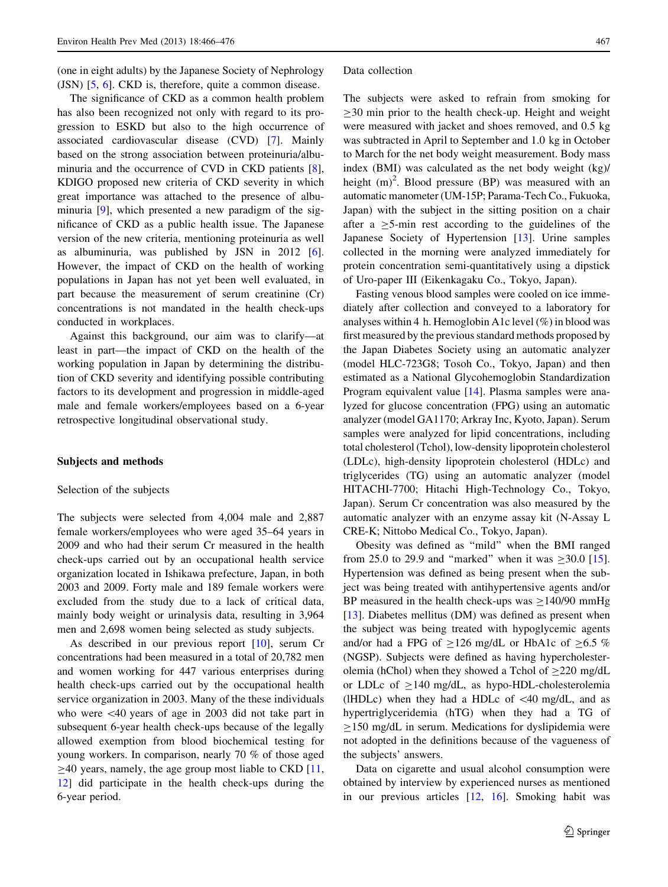<span id="page-1-0"></span>(one in eight adults) by the Japanese Society of Nephrology (JSN) [[5,](#page-8-0) [6\]](#page-8-0). CKD is, therefore, quite a common disease.

The significance of CKD as a common health problem has also been recognized not only with regard to its progression to ESKD but also to the high occurrence of associated cardiovascular disease (CVD) [[7\]](#page-9-0). Mainly based on the strong association between proteinuria/albuminuria and the occurrence of CVD in CKD patients [\[8](#page-9-0)], KDIGO proposed new criteria of CKD severity in which great importance was attached to the presence of albuminuria [\[9](#page-9-0)], which presented a new paradigm of the significance of CKD as a public health issue. The Japanese version of the new criteria, mentioning proteinuria as well as albuminuria, was published by JSN in 2012 [\[6](#page-8-0)]. However, the impact of CKD on the health of working populations in Japan has not yet been well evaluated, in part because the measurement of serum creatinine (Cr) concentrations is not mandated in the health check-ups conducted in workplaces.

Against this background, our aim was to clarify—at least in part—the impact of CKD on the health of the working population in Japan by determining the distribution of CKD severity and identifying possible contributing factors to its development and progression in middle-aged male and female workers/employees based on a 6-year retrospective longitudinal observational study.

#### Subjects and methods

#### Selection of the subjects

The subjects were selected from 4,004 male and 2,887 female workers/employees who were aged 35–64 years in 2009 and who had their serum Cr measured in the health check-ups carried out by an occupational health service organization located in Ishikawa prefecture, Japan, in both 2003 and 2009. Forty male and 189 female workers were excluded from the study due to a lack of critical data, mainly body weight or urinalysis data, resulting in 3,964 men and 2,698 women being selected as study subjects.

As described in our previous report [[10\]](#page-9-0), serum Cr concentrations had been measured in a total of 20,782 men and women working for 447 various enterprises during health check-ups carried out by the occupational health service organization in 2003. Many of the these individuals who were <40 years of age in 2003 did not take part in subsequent 6-year health check-ups because of the legally allowed exemption from blood biochemical testing for young workers. In comparison, nearly 70 % of those aged  $\geq$ 40 years, namely, the age group most liable to CKD [[11,](#page-9-0) [12](#page-9-0)] did participate in the health check-ups during the 6-year period.

#### Data collection

The subjects were asked to refrain from smoking for  $>30$  min prior to the health check-up. Height and weight were measured with jacket and shoes removed, and 0.5 kg was subtracted in April to September and 1.0 kg in October to March for the net body weight measurement. Body mass index (BMI) was calculated as the net body weight (kg)/ height  $(m)^2$ . Blood pressure (BP) was measured with an automatic manometer (UM-15P; Parama-Tech Co., Fukuoka, Japan) with the subject in the sitting position on a chair after a  $>5$ -min rest according to the guidelines of the Japanese Society of Hypertension [\[13](#page-9-0)]. Urine samples collected in the morning were analyzed immediately for protein concentration semi-quantitatively using a dipstick of Uro-paper III (Eikenkagaku Co., Tokyo, Japan).

Fasting venous blood samples were cooled on ice immediately after collection and conveyed to a laboratory for analyses within 4 h. Hemoglobin A1c level (%) in blood was first measured by the previous standard methods proposed by the Japan Diabetes Society using an automatic analyzer (model HLC-723G8; Tosoh Co., Tokyo, Japan) and then estimated as a National Glycohemoglobin Standardization Program equivalent value [\[14](#page-9-0)]. Plasma samples were analyzed for glucose concentration (FPG) using an automatic analyzer (model GA1170; Arkray Inc, Kyoto, Japan). Serum samples were analyzed for lipid concentrations, including total cholesterol (Tchol), low-density lipoprotein cholesterol (LDLc), high-density lipoprotein cholesterol (HDLc) and triglycerides (TG) using an automatic analyzer (model HITACHI-7700; Hitachi High-Technology Co., Tokyo, Japan). Serum Cr concentration was also measured by the automatic analyzer with an enzyme assay kit (N-Assay L CRE-K; Nittobo Medical Co., Tokyo, Japan).

Obesity was defined as ''mild'' when the BMI ranged from 25.0 to 29.9 and "marked" when it was  $\geq 30.0$  [\[15](#page-9-0)]. Hypertension was defined as being present when the subject was being treated with antihypertensive agents and/or BP measured in the health check-ups was  $\geq$ 140/90 mmHg [\[13](#page-9-0)]. Diabetes mellitus (DM) was defined as present when the subject was being treated with hypoglycemic agents and/or had a FPG of  $\geq$ 126 mg/dL or HbA1c of  $\geq$ 6.5 % (NGSP). Subjects were defined as having hypercholesterolemia (hChol) when they showed a Tchol of  $\geq$ 220 mg/dL or LDLc of  $\geq$ 140 mg/dL, as hypo-HDL-cholesterolemia (IHDLc) when they had a HDLc of  $\lt$  40 mg/dL, and as hypertriglyceridemia (hTG) when they had a TG of  $>150$  mg/dL in serum. Medications for dyslipidemia were not adopted in the definitions because of the vagueness of the subjects' answers.

Data on cigarette and usual alcohol consumption were obtained by interview by experienced nurses as mentioned in our previous articles [\[12](#page-9-0), [16\]](#page-9-0). Smoking habit was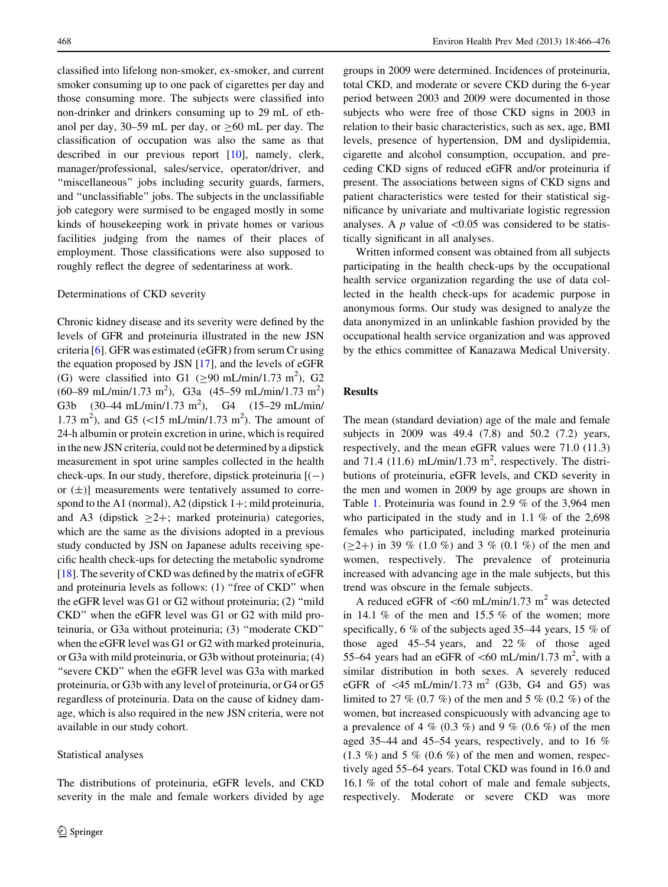<span id="page-2-0"></span>classified into lifelong non-smoker, ex-smoker, and current smoker consuming up to one pack of cigarettes per day and those consuming more. The subjects were classified into non-drinker and drinkers consuming up to 29 mL of ethanol per day,  $30-59$  mL per day, or  $>60$  mL per day. The classification of occupation was also the same as that described in our previous report [\[10](#page-9-0)], namely, clerk, manager/professional, sales/service, operator/driver, and "miscellaneous" jobs including security guards, farmers, and ''unclassifiable'' jobs. The subjects in the unclassifiable job category were surmised to be engaged mostly in some kinds of housekeeping work in private homes or various facilities judging from the names of their places of employment. Those classifications were also supposed to roughly reflect the degree of sedentariness at work.

# Determinations of CKD severity

Chronic kidney disease and its severity were defined by the levels of GFR and proteinuria illustrated in the new JSN criteria [[6\]](#page-8-0). GFR was estimated (eGFR) from serum Cr using the equation proposed by JSN [[17\]](#page-9-0), and the levels of eGFR (G) were classified into G1 ( $\geq$ 90 mL/min/1.73 m<sup>2</sup>), G2  $(60-89 \text{ mL/min}/1.73 \text{ m}^2)$ , G3a  $(45-59 \text{ mL/min}/1.73 \text{ m}^2)$ G3b  $(30-44 \text{ mL/min}/1.73 \text{ m}^2)$ , G4  $(15-29 \text{ mL/min}/1.73 \text{ m}^2)$ 1.73 m<sup>2</sup>), and G5 (<15 mL/min/1.73 m<sup>2</sup>). The amount of 24-h albumin or protein excretion in urine, which is required in the new JSN criteria, could not be determined by a dipstick measurement in spot urine samples collected in the health check-ups. In our study, therefore, dipstick proteinuria  $[(-)]$ or  $(\pm)$ ] measurements were tentatively assumed to correspond to the A1 (normal), A2 (dipstick  $1+$ ; mild proteinuria, and A3 (dipstick  $\geq 2+$ ; marked proteinuria) categories, which are the same as the divisions adopted in a previous study conducted by JSN on Japanese adults receiving specific health check-ups for detecting the metabolic syndrome [ $18$ ]. The severity of CKD was defined by the matrix of eGFR and proteinuria levels as follows: (1) "free of CKD" when the eGFR level was G1 or G2 without proteinuria; (2) ''mild CKD'' when the eGFR level was G1 or G2 with mild proteinuria, or G3a without proteinuria; (3) ''moderate CKD'' when the eGFR level was G1 or G2 with marked proteinuria, or G3a with mild proteinuria, or G3b without proteinuria; (4) "severe CKD" when the eGFR level was G3a with marked proteinuria, or G3b with any level of proteinuria, or G4 or G5 regardless of proteinuria. Data on the cause of kidney damage, which is also required in the new JSN criteria, were not available in our study cohort.

#### Statistical analyses

The distributions of proteinuria, eGFR levels, and CKD severity in the male and female workers divided by age groups in 2009 were determined. Incidences of proteinuria, total CKD, and moderate or severe CKD during the 6-year period between 2003 and 2009 were documented in those subjects who were free of those CKD signs in 2003 in relation to their basic characteristics, such as sex, age, BMI levels, presence of hypertension, DM and dyslipidemia, cigarette and alcohol consumption, occupation, and preceding CKD signs of reduced eGFR and/or proteinuria if present. The associations between signs of CKD signs and patient characteristics were tested for their statistical significance by univariate and multivariate logistic regression analyses. A  $p$  value of  $\leq 0.05$  was considered to be statistically significant in all analyses.

Written informed consent was obtained from all subjects participating in the health check-ups by the occupational health service organization regarding the use of data collected in the health check-ups for academic purpose in anonymous forms. Our study was designed to analyze the data anonymized in an unlinkable fashion provided by the occupational health service organization and was approved by the ethics committee of Kanazawa Medical University.

# Results

The mean (standard deviation) age of the male and female subjects in 2009 was 49.4 (7.8) and 50.2 (7.2) years, respectively, and the mean eGFR values were 71.0 (11.3) and 71.4 (11.6) mL/min/1.73  $m^2$ , respectively. The distributions of proteinuria, eGFR levels, and CKD severity in the men and women in 2009 by age groups are shown in Table [1](#page-3-0). Proteinuria was found in 2.9 % of the 3,964 men who participated in the study and in 1.1 % of the 2,698 females who participated, including marked proteinuria  $(\geq 2+)$  in 39 % (1.0 %) and 3 % (0.1 %) of the men and women, respectively. The prevalence of proteinuria increased with advancing age in the male subjects, but this trend was obscure in the female subjects.

A reduced eGFR of  $\leq 60$  mL/min/1.73 m<sup>2</sup> was detected in 14.1  $\%$  of the men and 15.5  $\%$  of the women; more specifically, 6 % of the subjects aged 35–44 years, 15 % of those aged 45–54 years, and 22 % of those aged 55–64 years had an eGFR of  $\lt$  60 mL/min/1.73 m<sup>2</sup>, with a similar distribution in both sexes. A severely reduced eGFR of  $\lt$ 45 mL/min/1.73 m<sup>2</sup> (G3b, G4 and G5) was limited to 27 % (0.7 %) of the men and 5 % (0.2 %) of the women, but increased conspicuously with advancing age to a prevalence of 4 % (0.3 %) and 9 % (0.6 %) of the men aged 35–44 and 45–54 years, respectively, and to 16 %  $(1.3 \%)$  and 5 %  $(0.6 \%)$  of the men and women, respectively aged 55–64 years. Total CKD was found in 16.0 and 16.1 % of the total cohort of male and female subjects, respectively. Moderate or severe CKD was more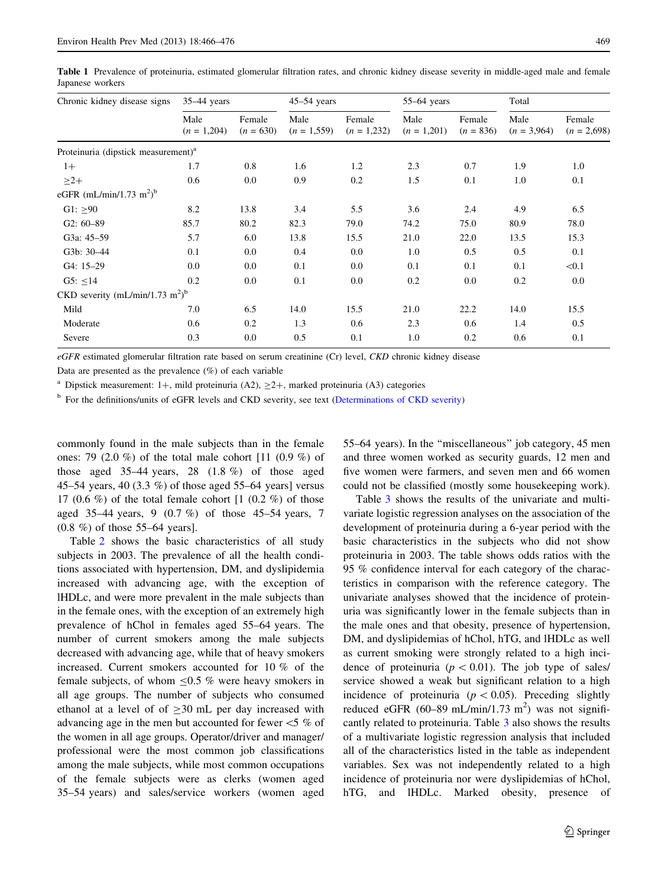<span id="page-3-0"></span>Table 1 Prevalence of proteinuria, estimated glomerular filtration rates, and chronic kidney disease severity in middle-aged male and female Japanese workers

| Chronic kidney disease signs                            | $35-44$ years         |                       | $45-54$ years         |                         | $55-64$ years         |                       | Total                 |                         |
|---------------------------------------------------------|-----------------------|-----------------------|-----------------------|-------------------------|-----------------------|-----------------------|-----------------------|-------------------------|
|                                                         | Male<br>$(n = 1,204)$ | Female<br>$(n = 630)$ | Male<br>$(n = 1,559)$ | Female<br>$(n = 1,232)$ | Male<br>$(n = 1,201)$ | Female<br>$(n = 836)$ | Male<br>$(n = 3,964)$ | Female<br>$(n = 2,698)$ |
| Proteinuria (dipstick measurement) <sup>a</sup>         |                       |                       |                       |                         |                       |                       |                       |                         |
| $1+$                                                    | 1.7                   | 0.8                   | 1.6                   | 1.2                     | 2.3                   | 0.7                   | 1.9                   | 1.0                     |
| $\geq$ 2+                                               | 0.6                   | $0.0\,$               | 0.9                   | 0.2                     | 1.5                   | 0.1                   | 1.0                   | 0.1                     |
| eGFR (mL/min/1.73 m <sup>2</sup> ) <sup>b</sup>         |                       |                       |                       |                         |                       |                       |                       |                         |
| G1: $\geq 90$                                           | 8.2                   | 13.8                  | 3.4                   | 5.5                     | 3.6                   | 2.4                   | 4.9                   | 6.5                     |
| $G2: 60-89$                                             | 85.7                  | 80.2                  | 82.3                  | 79.0                    | 74.2                  | 75.0                  | 80.9                  | 78.0                    |
| G3a: 45-59                                              | 5.7                   | 6.0                   | 13.8                  | 15.5                    | 21.0                  | 22.0                  | 13.5                  | 15.3                    |
| G3b: 30-44                                              | 0.1                   | $0.0\,$               | 0.4                   | $0.0\,$                 | 1.0                   | 0.5                   | 0.5                   | 0.1                     |
| $G4: 15-29$                                             | 0.0                   | $0.0\,$               | 0.1                   | 0.0                     | 0.1                   | 0.1                   | 0.1                   | < 0.1                   |
| G5: $\leq$ 14                                           | 0.2                   | $0.0\,$               | 0.1                   | 0.0                     | 0.2                   | 0.0                   | 0.2                   | 0.0                     |
| CKD severity (mL/min/1.73 m <sup>2</sup> ) <sup>b</sup> |                       |                       |                       |                         |                       |                       |                       |                         |
| Mild                                                    | 7.0                   | 6.5                   | 14.0                  | 15.5                    | 21.0                  | 22.2                  | 14.0                  | 15.5                    |
| Moderate                                                | 0.6                   | 0.2                   | 1.3                   | 0.6                     | 2.3                   | 0.6                   | 1.4                   | 0.5                     |
| Severe                                                  | 0.3                   | 0.0                   | 0.5                   | 0.1                     | 1.0                   | 0.2                   | 0.6                   | 0.1                     |

eGFR estimated glomerular filtration rate based on serum creatinine (Cr) level, CKD chronic kidney disease

Data are presented as the prevalence  $(\%)$  of each variable

<sup>a</sup> Dipstick measurement: 1+, mild proteinuria (A2),  $\geq$ 2+, marked proteinuria (A3) categories

<sup>b</sup> For the definitions/units of eGFR levels and CKD severity, see text [\(Determinations of CKD severity\)](#page-2-0)

commonly found in the male subjects than in the female ones: 79 (2.0 %) of the total male cohort  $[11]$  (0.9 %) of those aged 35–44 years, 28 (1.8 %) of those aged 45–54 years, 40 (3.3 %) of those aged 55–64 years] versus 17 (0.6 %) of the total female cohort  $[1 \ (0.2 \%)$  of those aged 35–44 years, 9 (0.7 %) of those 45–54 years, 7 (0.8 %) of those 55–64 years].

Table [2](#page-4-0) shows the basic characteristics of all study subjects in 2003. The prevalence of all the health conditions associated with hypertension, DM, and dyslipidemia increased with advancing age, with the exception of lHDLc, and were more prevalent in the male subjects than in the female ones, with the exception of an extremely high prevalence of hChol in females aged 55–64 years. The number of current smokers among the male subjects decreased with advancing age, while that of heavy smokers increased. Current smokers accounted for 10 % of the female subjects, of whom  $\leq 0.5$  % were heavy smokers in all age groups. The number of subjects who consumed ethanol at a level of of  $\geq$ 30 mL per day increased with advancing age in the men but accounted for fewer  $<$  5% of the women in all age groups. Operator/driver and manager/ professional were the most common job classifications among the male subjects, while most common occupations of the female subjects were as clerks (women aged 35–54 years) and sales/service workers (women aged 55–64 years). In the ''miscellaneous'' job category, 45 men and three women worked as security guards, 12 men and five women were farmers, and seven men and 66 women could not be classified (mostly some housekeeping work).

Table [3](#page-5-0) shows the results of the univariate and multivariate logistic regression analyses on the association of the development of proteinuria during a 6-year period with the basic characteristics in the subjects who did not show proteinuria in 2003. The table shows odds ratios with the 95 % confidence interval for each category of the characteristics in comparison with the reference category. The univariate analyses showed that the incidence of proteinuria was significantly lower in the female subjects than in the male ones and that obesity, presence of hypertension, DM, and dyslipidemias of hChol, hTG, and lHDLc as well as current smoking were strongly related to a high incidence of proteinuria ( $p < 0.01$ ). The job type of sales/ service showed a weak but significant relation to a high incidence of proteinuria ( $p < 0.05$ ). Preceding slightly reduced eGFR  $(60-89 \text{ mL/min}/1.73 \text{ m}^2)$  was not significantly related to proteinuria. Table [3](#page-5-0) also shows the results of a multivariate logistic regression analysis that included all of the characteristics listed in the table as independent variables. Sex was not independently related to a high incidence of proteinuria nor were dyslipidemias of hChol, hTG, and lHDLc. Marked obesity, presence of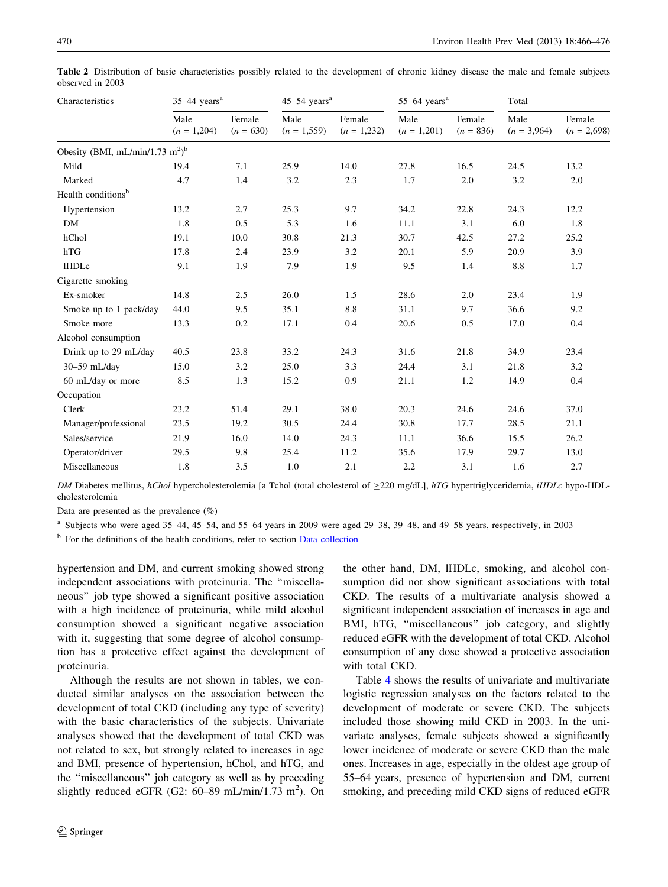| Characteristics                                         | $35-44$ years <sup>a</sup> |                       | $45-54$ years <sup>a</sup> |                         | $55-64$ years <sup>a</sup> |                       | Total                 |                         |
|---------------------------------------------------------|----------------------------|-----------------------|----------------------------|-------------------------|----------------------------|-----------------------|-----------------------|-------------------------|
|                                                         | Male<br>$(n = 1,204)$      | Female<br>$(n = 630)$ | Male<br>$(n = 1,559)$      | Female<br>$(n = 1,232)$ | Male<br>$(n = 1,201)$      | Female<br>$(n = 836)$ | Male<br>$(n = 3,964)$ | Female<br>$(n = 2,698)$ |
| Obesity (BMI, mL/min/1.73 m <sup>2</sup> ) <sup>b</sup> |                            |                       |                            |                         |                            |                       |                       |                         |
| Mild                                                    | 19.4                       | 7.1                   | 25.9                       | 14.0                    | 27.8                       | 16.5                  | 24.5                  | 13.2                    |
| Marked                                                  | 4.7                        | 1.4                   | 3.2                        | 2.3                     | 1.7                        | 2.0                   | 3.2                   | 2.0                     |
| Health conditions <sup>b</sup>                          |                            |                       |                            |                         |                            |                       |                       |                         |
| Hypertension                                            | 13.2                       | 2.7                   | 25.3                       | 9.7                     | 34.2                       | 22.8                  | 24.3                  | 12.2                    |
| DM                                                      | 1.8                        | 0.5                   | 5.3                        | 1.6                     | 11.1                       | 3.1                   | 6.0                   | 1.8                     |
| hChol                                                   | 19.1                       | 10.0                  | 30.8                       | 21.3                    | 30.7                       | 42.5                  | 27.2                  | 25.2                    |
| hTG                                                     | 17.8                       | 2.4                   | 23.9                       | 3.2                     | 20.1                       | 5.9                   | 20.9                  | 3.9                     |
| <b>IHDLc</b>                                            | 9.1                        | 1.9                   | 7.9                        | 1.9                     | 9.5                        | 1.4                   | 8.8                   | 1.7                     |
| Cigarette smoking                                       |                            |                       |                            |                         |                            |                       |                       |                         |
| Ex-smoker                                               | 14.8                       | 2.5                   | 26.0                       | 1.5                     | 28.6                       | 2.0                   | 23.4                  | 1.9                     |
| Smoke up to 1 pack/day                                  | 44.0                       | 9.5                   | 35.1                       | 8.8                     | 31.1                       | 9.7                   | 36.6                  | 9.2                     |
| Smoke more                                              | 13.3                       | 0.2                   | 17.1                       | 0.4                     | 20.6                       | 0.5                   | 17.0                  | 0.4                     |
| Alcohol consumption                                     |                            |                       |                            |                         |                            |                       |                       |                         |
| Drink up to 29 mL/day                                   | 40.5                       | 23.8                  | 33.2                       | 24.3                    | 31.6                       | 21.8                  | 34.9                  | 23.4                    |
| 30-59 mL/day                                            | 15.0                       | 3.2                   | 25.0                       | 3.3                     | 24.4                       | 3.1                   | 21.8                  | 3.2                     |
| 60 mL/day or more                                       | 8.5                        | 1.3                   | 15.2                       | 0.9                     | 21.1                       | 1.2                   | 14.9                  | 0.4                     |
| Occupation                                              |                            |                       |                            |                         |                            |                       |                       |                         |
| Clerk                                                   | 23.2                       | 51.4                  | 29.1                       | 38.0                    | 20.3                       | 24.6                  | 24.6                  | 37.0                    |
| Manager/professional                                    | 23.5                       | 19.2                  | 30.5                       | 24.4                    | 30.8                       | 17.7                  | 28.5                  | 21.1                    |
| Sales/service                                           | 21.9                       | 16.0                  | 14.0                       | 24.3                    | 11.1                       | 36.6                  | 15.5                  | 26.2                    |
| Operator/driver                                         | 29.5                       | 9.8                   | 25.4                       | 11.2                    | 35.6                       | 17.9                  | 29.7                  | 13.0                    |
| Miscellaneous                                           | 1.8                        | 3.5                   | 1.0                        | 2.1                     | 2.2                        | 3.1                   | 1.6                   | 2.7                     |

<span id="page-4-0"></span>Table 2 Distribution of basic characteristics possibly related to the development of chronic kidney disease the male and female subjects observed in 2003

DM Diabetes mellitus, hChol hypercholesterolemia [a Tchol (total cholesterol of  $\geq$ 220 mg/dL], hTG hypertriglyceridemia, iHDLc hypo-HDLcholesterolemia

Data are presented as the prevalence  $(\%)$ 

<sup>a</sup> Subjects who were aged 35–44, 45–54, and 55–64 years in 2009 were aged 29–38, 39–48, and 49–58 years, respectively, in 2003

<sup>b</sup> For the definitions of the health conditions, refer to section [Data collection](#page-1-0)

hypertension and DM, and current smoking showed strong independent associations with proteinuria. The ''miscellaneous'' job type showed a significant positive association with a high incidence of proteinuria, while mild alcohol consumption showed a significant negative association with it, suggesting that some degree of alcohol consumption has a protective effect against the development of proteinuria.

Although the results are not shown in tables, we conducted similar analyses on the association between the development of total CKD (including any type of severity) with the basic characteristics of the subjects. Univariate analyses showed that the development of total CKD was not related to sex, but strongly related to increases in age and BMI, presence of hypertension, hChol, and hTG, and the ''miscellaneous'' job category as well as by preceding slightly reduced eGFR (G2:  $60-89$  mL/min/1.73 m<sup>2</sup>). On

the other hand, DM, lHDLc, smoking, and alcohol consumption did not show significant associations with total CKD. The results of a multivariate analysis showed a significant independent association of increases in age and BMI, hTG, ''miscellaneous'' job category, and slightly reduced eGFR with the development of total CKD. Alcohol consumption of any dose showed a protective association with total CKD.

Table [4](#page-6-0) shows the results of univariate and multivariate logistic regression analyses on the factors related to the development of moderate or severe CKD. The subjects included those showing mild CKD in 2003. In the univariate analyses, female subjects showed a significantly lower incidence of moderate or severe CKD than the male ones. Increases in age, especially in the oldest age group of 55–64 years, presence of hypertension and DM, current smoking, and preceding mild CKD signs of reduced eGFR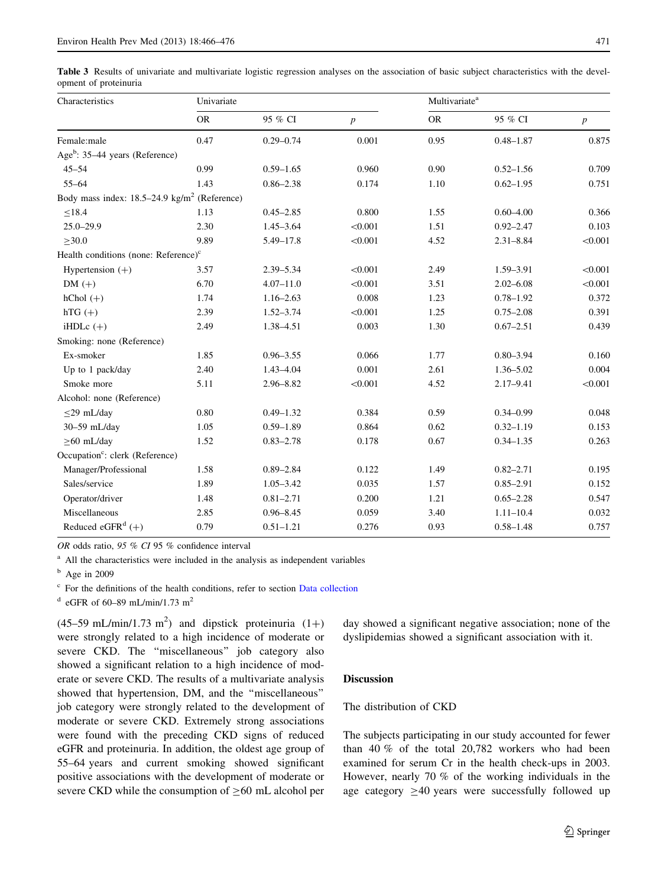<span id="page-5-0"></span>Table 3 Results of univariate and multivariate logistic regression analyses on the association of basic subject characteristics with the development of proteinuria

| Characteristics                                          | Univariate |               |                  | Multivariate <sup>a</sup> |               |                  |  |
|----------------------------------------------------------|------------|---------------|------------------|---------------------------|---------------|------------------|--|
|                                                          | <b>OR</b>  | 95 % CI       | $\boldsymbol{p}$ | <b>OR</b>                 | 95 % CI       | $\boldsymbol{p}$ |  |
| Female:male                                              | 0.47       | $0.29 - 0.74$ | 0.001            | 0.95                      | $0.48 - 1.87$ | 0.875            |  |
| Age <sup>b</sup> : 35–44 years (Reference)               |            |               |                  |                           |               |                  |  |
| $45 - 54$                                                | 0.99       | $0.59 - 1.65$ | 0.960            | 0.90                      | $0.52 - 1.56$ | 0.709            |  |
| $55 - 64$                                                | 1.43       | $0.86 - 2.38$ | 0.174            | 1.10                      | $0.62 - 1.95$ | 0.751            |  |
| Body mass index: 18.5-24.9 kg/m <sup>2</sup> (Reference) |            |               |                  |                           |               |                  |  |
| $\leq$ 18.4                                              | 1.13       | $0.45 - 2.85$ | 0.800            | 1.55                      | $0.60 - 4.00$ | 0.366            |  |
| $25.0 - 29.9$                                            | 2.30       | $1.45 - 3.64$ | < 0.001          | 1.51                      | $0.92 - 2.47$ | 0.103            |  |
| $\geq$ 30.0                                              | 9.89       | $5.49 - 17.8$ | < 0.001          | 4.52                      | $2.31 - 8.84$ | < 0.001          |  |
| Health conditions (none: Reference) <sup>c</sup>         |            |               |                  |                           |               |                  |  |
| Hypertension $(+)$                                       | 3.57       | $2.39 - 5.34$ | < 0.001          | 2.49                      | 1.59-3.91     | < 0.001          |  |
| $DM (+)$                                                 | 6.70       | $4.07 - 11.0$ | < 0.001          | 3.51                      | $2.02 - 6.08$ | < 0.001          |  |
| $hChol (+)$                                              | 1.74       | $1.16 - 2.63$ | 0.008            | 1.23                      | $0.78 - 1.92$ | 0.372            |  |
| $hTG(+)$                                                 | 2.39       | $1.52 - 3.74$ | < 0.001          | 1.25                      | $0.75 - 2.08$ | 0.391            |  |
| iHDL $c (+)$                                             | 2.49       | 1.38-4.51     | 0.003            | 1.30                      | $0.67 - 2.51$ | 0.439            |  |
| Smoking: none (Reference)                                |            |               |                  |                           |               |                  |  |
| Ex-smoker                                                | 1.85       | $0.96 - 3.55$ | 0.066            | 1.77                      | $0.80 - 3.94$ | 0.160            |  |
| Up to 1 pack/day                                         | 2.40       | 1.43-4.04     | 0.001            | 2.61                      | 1.36-5.02     | 0.004            |  |
| Smoke more                                               | 5.11       | 2.96-8.82     | < 0.001          | 4.52                      | $2.17 - 9.41$ | < 0.001          |  |
| Alcohol: none (Reference)                                |            |               |                  |                           |               |                  |  |
| $\leq$ 29 mL/day                                         | 0.80       | $0.49 - 1.32$ | 0.384            | 0.59                      | $0.34 - 0.99$ | 0.048            |  |
| 30-59 mL/day                                             | 1.05       | $0.59 - 1.89$ | 0.864            | 0.62                      | $0.32 - 1.19$ | 0.153            |  |
| $\geq$ 60 mL/day                                         | 1.52       | $0.83 - 2.78$ | 0.178            | 0.67                      | $0.34 - 1.35$ | 0.263            |  |
| Occupation <sup>c</sup> : clerk (Reference)              |            |               |                  |                           |               |                  |  |
| Manager/Professional                                     | 1.58       | $0.89 - 2.84$ | 0.122            | 1.49                      | $0.82 - 2.71$ | 0.195            |  |
| Sales/service                                            | 1.89       | $1.05 - 3.42$ | 0.035            | 1.57                      | $0.85 - 2.91$ | 0.152            |  |
| Operator/driver                                          | 1.48       | $0.81 - 2.71$ | 0.200            | 1.21                      | $0.65 - 2.28$ | 0.547            |  |
| Miscellaneous                                            | 2.85       | $0.96 - 8.45$ | 0.059            | 3.40                      | $1.11 - 10.4$ | 0.032            |  |
| Reduced eGFR <sup>d</sup> $(+)$                          | 0.79       | $0.51 - 1.21$ | 0.276            | 0.93                      | $0.58 - 1.48$ | 0.757            |  |

OR odds ratio, 95 % CI 95 % confidence interval

<sup>a</sup> All the characteristics were included in the analysis as independent variables

 $<sup>b</sup>$  Age in 2009</sup>

<sup>c</sup> For the definitions of the health conditions, refer to section [Data collection](#page-1-0)

 $d$  eGFR of 60–89 mL/min/1.73 m<sup>2</sup>

 $(45-59 \text{ mL/min}/1.73 \text{ m}^2)$  and dipstick proteinuria  $(1+)$ were strongly related to a high incidence of moderate or severe CKD. The ''miscellaneous'' job category also showed a significant relation to a high incidence of moderate or severe CKD. The results of a multivariate analysis showed that hypertension, DM, and the ''miscellaneous'' job category were strongly related to the development of moderate or severe CKD. Extremely strong associations were found with the preceding CKD signs of reduced eGFR and proteinuria. In addition, the oldest age group of 55–64 years and current smoking showed significant positive associations with the development of moderate or severe CKD while the consumption of  $\geq 60$  mL alcohol per

day showed a significant negative association; none of the dyslipidemias showed a significant association with it.

### Discussion

# The distribution of CKD

The subjects participating in our study accounted for fewer than 40 % of the total 20,782 workers who had been examined for serum Cr in the health check-ups in 2003. However, nearly 70 % of the working individuals in the age category  $\geq 40$  years were successfully followed up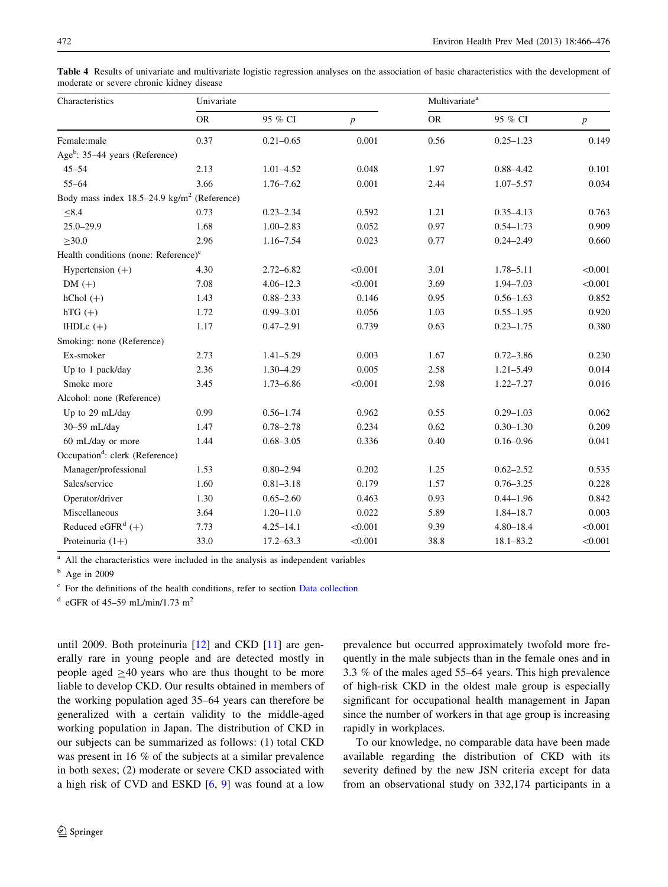| Characteristics                                           | Univariate |               |                  | Multivariate <sup>a</sup> |               |                  |  |
|-----------------------------------------------------------|------------|---------------|------------------|---------------------------|---------------|------------------|--|
|                                                           | <b>OR</b>  | 95 % CI       | $\boldsymbol{p}$ | <b>OR</b>                 | 95 % CI       | $\boldsymbol{p}$ |  |
| Female:male                                               | 0.37       | $0.21 - 0.65$ | 0.001            | 0.56                      | $0.25 - 1.23$ | 0.149            |  |
| Age <sup>b</sup> : 35-44 years (Reference)                |            |               |                  |                           |               |                  |  |
| $45 - 54$                                                 | 2.13       | $1.01 - 4.52$ | 0.048            | 1.97                      | $0.88 - 4.42$ | 0.101            |  |
| $55 - 64$                                                 | 3.66       | $1.76 - 7.62$ | 0.001            | 2.44                      | $1.07 - 5.57$ | 0.034            |  |
| Body mass index $18.5-24.9$ kg/m <sup>2</sup> (Reference) |            |               |                  |                           |               |                  |  |
| $\leq 8.4$                                                | 0.73       | $0.23 - 2.34$ | 0.592            | 1.21                      | $0.35 - 4.13$ | 0.763            |  |
| $25.0 - 29.9$                                             | 1.68       | $1.00 - 2.83$ | 0.052            | 0.97                      | $0.54 - 1.73$ | 0.909            |  |
| $\geq 30.0$                                               | 2.96       | $1.16 - 7.54$ | 0.023            | 0.77                      | $0.24 - 2.49$ | 0.660            |  |
| Health conditions (none: Reference) <sup>c</sup>          |            |               |                  |                           |               |                  |  |
| Hypertension $(+)$                                        | 4.30       | $2.72 - 6.82$ | < 0.001          | 3.01                      | 1.78-5.11     | < 0.001          |  |
| $DM (+)$                                                  | 7.08       | $4.06 - 12.3$ | < 0.001          | 3.69                      | 1.94-7.03     | < 0.001          |  |
| $hChol (+)$                                               | 1.43       | $0.88 - 2.33$ | 0.146            | 0.95                      | $0.56 - 1.63$ | 0.852            |  |
| $hTG(+)$                                                  | 1.72       | $0.99 - 3.01$ | 0.056            | 1.03                      | $0.55 - 1.95$ | 0.920            |  |
| $IHDLc (+)$                                               | 1.17       | $0.47 - 2.91$ | 0.739            | 0.63                      | $0.23 - 1.75$ | 0.380            |  |
| Smoking: none (Reference)                                 |            |               |                  |                           |               |                  |  |
| Ex-smoker                                                 | 2.73       | $1.41 - 5.29$ | 0.003            | 1.67                      | $0.72 - 3.86$ | 0.230            |  |
| Up to 1 pack/day                                          | 2.36       | $1.30 - 4.29$ | 0.005            | 2.58                      | $1.21 - 5.49$ | 0.014            |  |
| Smoke more                                                | 3.45       | $1.73 - 6.86$ | < 0.001          | 2.98                      | $1.22 - 7.27$ | 0.016            |  |
| Alcohol: none (Reference)                                 |            |               |                  |                           |               |                  |  |
| Up to 29 mL/day                                           | 0.99       | $0.56 - 1.74$ | 0.962            | 0.55                      | $0.29 - 1.03$ | 0.062            |  |
| 30-59 mL/day                                              | 1.47       | $0.78 - 2.78$ | 0.234            | 0.62                      | $0.30 - 1.30$ | 0.209            |  |
| 60 mL/day or more                                         | 1.44       | $0.68 - 3.05$ | 0.336            | 0.40                      | $0.16 - 0.96$ | 0.041            |  |
| Occupation <sup>d</sup> : clerk (Reference)               |            |               |                  |                           |               |                  |  |
| Manager/professional                                      | 1.53       | $0.80 - 2.94$ | 0.202            | 1.25                      | $0.62 - 2.52$ | 0.535            |  |
| Sales/service                                             | 1.60       | $0.81 - 3.18$ | 0.179            | 1.57                      | $0.76 - 3.25$ | 0.228            |  |
| Operator/driver                                           | 1.30       | $0.65 - 2.60$ | 0.463            | 0.93                      | $0.44 - 1.96$ | 0.842            |  |
| Miscellaneous                                             | 3.64       | $1.20 - 11.0$ | 0.022            | 5.89                      | $1.84 - 18.7$ | 0.003            |  |
| Reduced eGFR <sup>d</sup> $(+)$                           | 7.73       | $4.25 - 14.1$ | < 0.001          | 9.39                      | $4.80 - 18.4$ | < 0.001          |  |
| Proteinuria $(1+)$                                        | 33.0       | $17.2 - 63.3$ | < 0.001          | 38.8                      | $18.1 - 83.2$ | < 0.001          |  |

<span id="page-6-0"></span>Table 4 Results of univariate and multivariate logistic regression analyses on the association of basic characteristics with the development of moderate or severe chronic kidney disease

<sup>a</sup> All the characteristics were included in the analysis as independent variables

 $<sup>b</sup>$  Age in 2009</sup>

<sup>c</sup> For the definitions of the health conditions, refer to section [Data collection](#page-1-0)

 $d$  eGFR of 45–59 mL/min/1.73 m<sup>2</sup>

until 2009. Both proteinuria [\[12](#page-9-0)] and CKD [[11\]](#page-9-0) are generally rare in young people and are detected mostly in people aged  $\geq 40$  years who are thus thought to be more liable to develop CKD. Our results obtained in members of the working population aged 35–64 years can therefore be generalized with a certain validity to the middle-aged working population in Japan. The distribution of CKD in our subjects can be summarized as follows: (1) total CKD was present in 16 % of the subjects at a similar prevalence in both sexes; (2) moderate or severe CKD associated with a high risk of CVD and ESKD [\[6](#page-8-0), [9](#page-9-0)] was found at a low prevalence but occurred approximately twofold more frequently in the male subjects than in the female ones and in 3.3 % of the males aged 55–64 years. This high prevalence of high-risk CKD in the oldest male group is especially significant for occupational health management in Japan since the number of workers in that age group is increasing rapidly in workplaces.

To our knowledge, no comparable data have been made available regarding the distribution of CKD with its severity defined by the new JSN criteria except for data from an observational study on 332,174 participants in a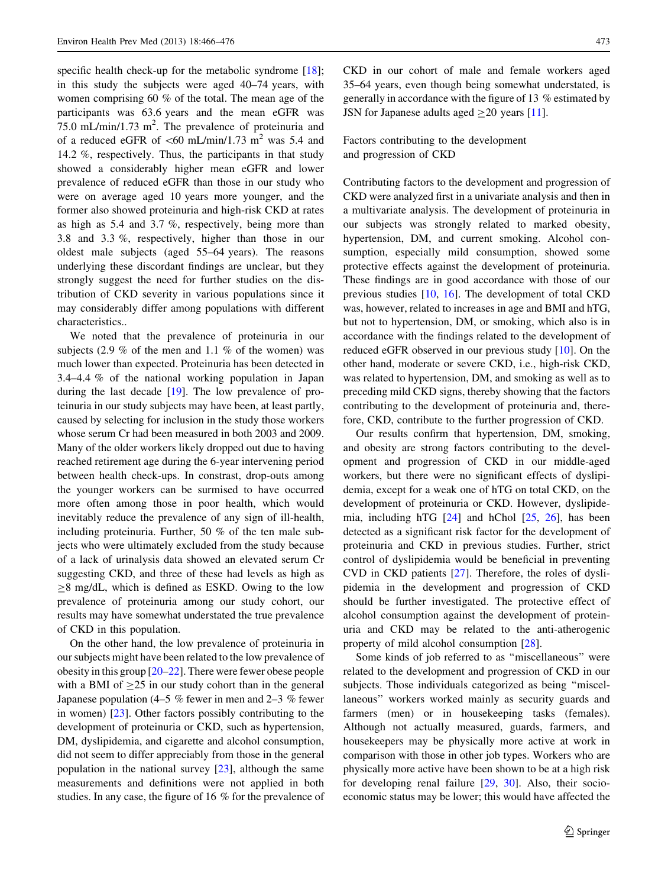specific health check-up for the metabolic syndrome [\[18](#page-9-0)]; in this study the subjects were aged 40–74 years, with women comprising 60 % of the total. The mean age of the participants was 63.6 years and the mean eGFR was 75.0 mL/min/1.73 m<sup>2</sup>. The prevalence of proteinuria and of a reduced eGFR of  $\lt 60$  mL/min/1.73 m<sup>2</sup> was 5.4 and 14.2 %, respectively. Thus, the participants in that study showed a considerably higher mean eGFR and lower prevalence of reduced eGFR than those in our study who were on average aged 10 years more younger, and the former also showed proteinuria and high-risk CKD at rates as high as 5.4 and 3.7 %, respectively, being more than 3.8 and 3.3 %, respectively, higher than those in our oldest male subjects (aged 55–64 years). The reasons underlying these discordant findings are unclear, but they strongly suggest the need for further studies on the distribution of CKD severity in various populations since it may considerably differ among populations with different characteristics..

We noted that the prevalence of proteinuria in our subjects (2.9 % of the men and 1.1 % of the women) was much lower than expected. Proteinuria has been detected in 3.4–4.4 % of the national working population in Japan during the last decade [\[19](#page-9-0)]. The low prevalence of proteinuria in our study subjects may have been, at least partly, caused by selecting for inclusion in the study those workers whose serum Cr had been measured in both 2003 and 2009. Many of the older workers likely dropped out due to having reached retirement age during the 6-year intervening period between health check-ups. In constrast, drop-outs among the younger workers can be surmised to have occurred more often among those in poor health, which would inevitably reduce the prevalence of any sign of ill-health, including proteinuria. Further, 50 % of the ten male subjects who were ultimately excluded from the study because of a lack of urinalysis data showed an elevated serum Cr suggesting CKD, and three of these had levels as high as  $\geq$ 8 mg/dL, which is defined as ESKD. Owing to the low prevalence of proteinuria among our study cohort, our results may have somewhat understated the true prevalence of CKD in this population.

On the other hand, the low prevalence of proteinuria in our subjects might have been related to the low prevalence of obesity in this group [\[20–22](#page-9-0)]. There were fewer obese people with a BMI of  $\geq$  25 in our study cohort than in the general Japanese population (4–5  $\%$  fewer in men and 2–3  $\%$  fewer in women) [\[23](#page-9-0)]. Other factors possibly contributing to the development of proteinuria or CKD, such as hypertension, DM, dyslipidemia, and cigarette and alcohol consumption, did not seem to differ appreciably from those in the general population in the national survey [\[23](#page-9-0)], although the same measurements and definitions were not applied in both studies. In any case, the figure of 16 % for the prevalence of CKD in our cohort of male and female workers aged 35–64 years, even though being somewhat understated, is generally in accordance with the figure of 13 % estimated by JSN for Japanese adults aged  $\geq$ 20 years [\[11](#page-9-0)].

Factors contributing to the development and progression of CKD

Contributing factors to the development and progression of CKD were analyzed first in a univariate analysis and then in a multivariate analysis. The development of proteinuria in our subjects was strongly related to marked obesity, hypertension, DM, and current smoking. Alcohol consumption, especially mild consumption, showed some protective effects against the development of proteinuria. These findings are in good accordance with those of our previous studies [\[10](#page-9-0), [16](#page-9-0)]. The development of total CKD was, however, related to increases in age and BMI and hTG, but not to hypertension, DM, or smoking, which also is in accordance with the findings related to the development of reduced eGFR observed in our previous study [\[10](#page-9-0)]. On the other hand, moderate or severe CKD, i.e., high-risk CKD, was related to hypertension, DM, and smoking as well as to preceding mild CKD signs, thereby showing that the factors contributing to the development of proteinuria and, therefore, CKD, contribute to the further progression of CKD.

Our results confirm that hypertension, DM, smoking, and obesity are strong factors contributing to the development and progression of CKD in our middle-aged workers, but there were no significant effects of dyslipidemia, except for a weak one of hTG on total CKD, on the development of proteinuria or CKD. However, dyslipidemia, including hTG [\[24](#page-9-0)] and hChol [[25,](#page-9-0) [26](#page-9-0)], has been detected as a significant risk factor for the development of proteinuria and CKD in previous studies. Further, strict control of dyslipidemia would be beneficial in preventing CVD in CKD patients [\[27](#page-9-0)]. Therefore, the roles of dyslipidemia in the development and progression of CKD should be further investigated. The protective effect of alcohol consumption against the development of proteinuria and CKD may be related to the anti-atherogenic property of mild alcohol consumption [[28\]](#page-9-0).

Some kinds of job referred to as ''miscellaneous'' were related to the development and progression of CKD in our subjects. Those individuals categorized as being ''miscellaneous'' workers worked mainly as security guards and farmers (men) or in housekeeping tasks (females). Although not actually measured, guards, farmers, and housekeepers may be physically more active at work in comparison with those in other job types. Workers who are physically more active have been shown to be at a high risk for developing renal failure [[29,](#page-9-0) [30](#page-9-0)]. Also, their socioeconomic status may be lower; this would have affected the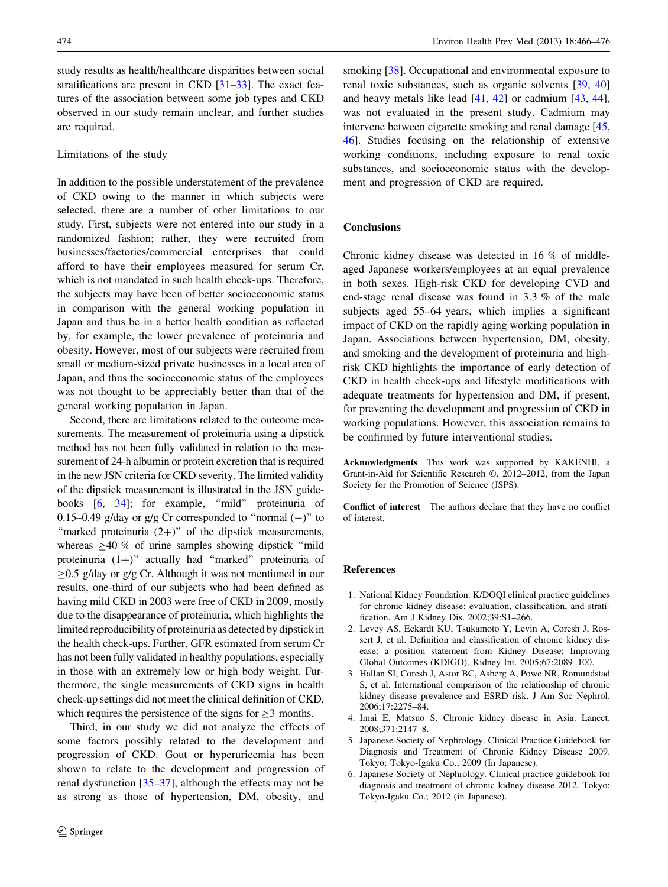<span id="page-8-0"></span>study results as health/healthcare disparities between social stratifications are present in CKD  $[31-33]$ . The exact features of the association between some job types and CKD observed in our study remain unclear, and further studies are required.

# Limitations of the study

In addition to the possible understatement of the prevalence of CKD owing to the manner in which subjects were selected, there are a number of other limitations to our study. First, subjects were not entered into our study in a randomized fashion; rather, they were recruited from businesses/factories/commercial enterprises that could afford to have their employees measured for serum Cr, which is not mandated in such health check-ups. Therefore, the subjects may have been of better socioeconomic status in comparison with the general working population in Japan and thus be in a better health condition as reflected by, for example, the lower prevalence of proteinuria and obesity. However, most of our subjects were recruited from small or medium-sized private businesses in a local area of Japan, and thus the socioeconomic status of the employees was not thought to be appreciably better than that of the general working population in Japan.

Second, there are limitations related to the outcome measurements. The measurement of proteinuria using a dipstick method has not been fully validated in relation to the measurement of 24-h albumin or protein excretion that is required in the new JSN criteria for CKD severity. The limited validity of the dipstick measurement is illustrated in the JSN guide-books [6, [34](#page-9-0)]; for example, "mild" proteinuria of 0.15–0.49 g/day or g/g Cr corresponded to "normal  $(-)$ " to "marked proteinuria  $(2+)$ " of the dipstick measurements, whereas  $\geq 40$  % of urine samples showing dipstick "mild" proteinuria  $(1+)$ " actually had "marked" proteinuria of  $\geq$ 0.5 g/day or g/g Cr. Although it was not mentioned in our results, one-third of our subjects who had been defined as having mild CKD in 2003 were free of CKD in 2009, mostly due to the disappearance of proteinuria, which highlights the limited reproducibility of proteinuria as detected by dipstick in the health check-ups. Further, GFR estimated from serum Cr has not been fully validated in healthy populations, especially in those with an extremely low or high body weight. Furthermore, the single measurements of CKD signs in health check-up settings did not meet the clinical definition of CKD, which requires the persistence of the signs for  $\geq$ 3 months.

Third, in our study we did not analyze the effects of some factors possibly related to the development and progression of CKD. Gout or hyperuricemia has been shown to relate to the development and progression of renal dysfunction [\[35–37](#page-9-0)], although the effects may not be as strong as those of hypertension, DM, obesity, and

smoking [\[38](#page-9-0)]. Occupational and environmental exposure to renal toxic substances, such as organic solvents [\[39](#page-9-0), [40\]](#page-9-0) and heavy metals like lead [[41,](#page-9-0) [42\]](#page-9-0) or cadmium [\[43](#page-9-0), [44](#page-10-0)], was not evaluated in the present study. Cadmium may intervene between cigarette smoking and renal damage [[45,](#page-10-0) [46](#page-10-0)]. Studies focusing on the relationship of extensive working conditions, including exposure to renal toxic substances, and socioeconomic status with the development and progression of CKD are required.

# **Conclusions**

Chronic kidney disease was detected in 16 % of middleaged Japanese workers/employees at an equal prevalence in both sexes. High-risk CKD for developing CVD and end-stage renal disease was found in 3.3 % of the male subjects aged 55–64 years, which implies a significant impact of CKD on the rapidly aging working population in Japan. Associations between hypertension, DM, obesity, and smoking and the development of proteinuria and highrisk CKD highlights the importance of early detection of CKD in health check-ups and lifestyle modifications with adequate treatments for hypertension and DM, if present, for preventing the development and progression of CKD in working populations. However, this association remains to be confirmed by future interventional studies.

Acknowledgments This work was supported by KAKENHI, a Grant-in-Aid for Scientific Research ©, 2012–2012, from the Japan Society for the Promotion of Science (JSPS).

Conflict of interest The authors declare that they have no conflict of interest.

#### References

- 1. National Kidney Foundation. K/DOQI clinical practice guidelines for chronic kidney disease: evaluation, classification, and stratification. Am J Kidney Dis. 2002;39:S1–266.
- 2. Levey AS, Eckardt KU, Tsukamoto Y, Levin A, Coresh J, Rossert J, et al. Definition and classification of chronic kidney disease: a position statement from Kidney Disease: Improving Global Outcomes (KDIGO). Kidney Int. 2005;67:2089–100.
- 3. Hallan SI, Coresh J, Astor BC, Asberg A, Powe NR, Romundstad S, et al. International comparison of the relationship of chronic kidney disease prevalence and ESRD risk. J Am Soc Nephrol. 2006;17:2275–84.
- 4. Imai E, Matsuo S. Chronic kidney disease in Asia. Lancet. 2008;371:2147–8.
- 5. Japanese Society of Nephrology. Clinical Practice Guidebook for Diagnosis and Treatment of Chronic Kidney Disease 2009. Tokyo: Tokyo-Igaku Co.; 2009 (In Japanese).
- 6. Japanese Society of Nephrology. Clinical practice guidebook for diagnosis and treatment of chronic kidney disease 2012. Tokyo: Tokyo-Igaku Co.; 2012 (in Japanese).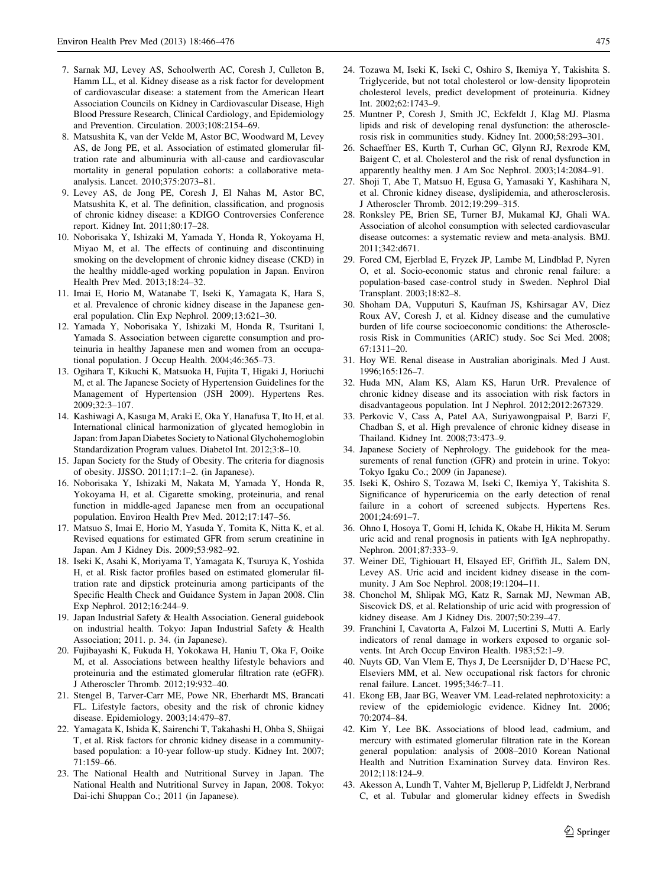- <span id="page-9-0"></span>7. Sarnak MJ, Levey AS, Schoolwerth AC, Coresh J, Culleton B, Hamm LL, et al. Kidney disease as a risk factor for development of cardiovascular disease: a statement from the American Heart Association Councils on Kidney in Cardiovascular Disease, High Blood Pressure Research, Clinical Cardiology, and Epidemiology and Prevention. Circulation. 2003;108:2154–69.
- 8. Matsushita K, van der Velde M, Astor BC, Woodward M, Levey AS, de Jong PE, et al. Association of estimated glomerular filtration rate and albuminuria with all-cause and cardiovascular mortality in general population cohorts: a collaborative metaanalysis. Lancet. 2010;375:2073–81.
- 9. Levey AS, de Jong PE, Coresh J, El Nahas M, Astor BC, Matsushita K, et al. The definition, classification, and prognosis of chronic kidney disease: a KDIGO Controversies Conference report. Kidney Int. 2011;80:17–28.
- 10. Noborisaka Y, Ishizaki M, Yamada Y, Honda R, Yokoyama H, Miyao M, et al. The effects of continuing and discontinuing smoking on the development of chronic kidney disease (CKD) in the healthy middle-aged working population in Japan. Environ Health Prev Med. 2013;18:24–32.
- 11. Imai E, Horio M, Watanabe T, Iseki K, Yamagata K, Hara S, et al. Prevalence of chronic kidney disease in the Japanese general population. Clin Exp Nephrol. 2009;13:621–30.
- 12. Yamada Y, Noborisaka Y, Ishizaki M, Honda R, Tsuritani I, Yamada S. Association between cigarette consumption and proteinuria in healthy Japanese men and women from an occupational population. J Occup Health. 2004;46:365–73.
- 13. Ogihara T, Kikuchi K, Matsuoka H, Fujita T, Higaki J, Horiuchi M, et al. The Japanese Society of Hypertension Guidelines for the Management of Hypertension (JSH 2009). Hypertens Res. 2009;32:3–107.
- 14. Kashiwagi A, Kasuga M, Araki E, Oka Y, Hanafusa T, Ito H, et al. International clinical harmonization of glycated hemoglobin in Japan: from Japan Diabetes Society to National Glychohemoglobin Standardization Program values. Diabetol Int. 2012;3:8–10.
- 15. Japan Society for the Study of Obesity. The criteria for diagnosis of obesity. JJSSO. 2011;17:1–2. (in Japanese).
- 16. Noborisaka Y, Ishizaki M, Nakata M, Yamada Y, Honda R, Yokoyama H, et al. Cigarette smoking, proteinuria, and renal function in middle-aged Japanese men from an occupational population. Environ Health Prev Med. 2012;17:147–56.
- 17. Matsuo S, Imai E, Horio M, Yasuda Y, Tomita K, Nitta K, et al. Revised equations for estimated GFR from serum creatinine in Japan. Am J Kidney Dis. 2009;53:982–92.
- 18. Iseki K, Asahi K, Moriyama T, Yamagata K, Tsuruya K, Yoshida H, et al. Risk factor profiles based on estimated glomerular filtration rate and dipstick proteinuria among participants of the Specific Health Check and Guidance System in Japan 2008. Clin Exp Nephrol. 2012;16:244–9.
- 19. Japan Industrial Safety & Health Association. General guidebook on industrial health. Tokyo: Japan Industrial Safety & Health Association; 2011. p. 34. (in Japanese).
- 20. Fujibayashi K, Fukuda H, Yokokawa H, Haniu T, Oka F, Ooike M, et al. Associations between healthy lifestyle behaviors and proteinuria and the estimated glomerular filtration rate (eGFR). J Atheroscler Thromb. 2012;19:932–40.
- 21. Stengel B, Tarver-Carr ME, Powe NR, Eberhardt MS, Brancati FL. Lifestyle factors, obesity and the risk of chronic kidney disease. Epidemiology. 2003;14:479–87.
- 22. Yamagata K, Ishida K, Sairenchi T, Takahashi H, Ohba S, Shiigai T, et al. Risk factors for chronic kidney disease in a communitybased population: a 10-year follow-up study. Kidney Int. 2007; 71:159–66.
- 23. The National Health and Nutritional Survey in Japan. The National Health and Nutritional Survey in Japan, 2008. Tokyo: Dai-ichi Shuppan Co.; 2011 (in Japanese).
- 24. Tozawa M, Iseki K, Iseki C, Oshiro S, Ikemiya Y, Takishita S. Triglyceride, but not total cholesterol or low-density lipoprotein cholesterol levels, predict development of proteinuria. Kidney Int. 2002;62:1743–9.
- 25. Muntner P, Coresh J, Smith JC, Eckfeldt J, Klag MJ. Plasma lipids and risk of developing renal dysfunction: the atherosclerosis risk in communities study. Kidney Int. 2000;58:293–301.
- 26. Schaeffner ES, Kurth T, Curhan GC, Glynn RJ, Rexrode KM, Baigent C, et al. Cholesterol and the risk of renal dysfunction in apparently healthy men. J Am Soc Nephrol. 2003;14:2084–91.
- 27. Shoji T, Abe T, Matsuo H, Egusa G, Yamasaki Y, Kashihara N, et al. Chronic kidney disease, dyslipidemia, and atherosclerosis. J Atheroscler Thromb. 2012;19:299–315.
- 28. Ronksley PE, Brien SE, Turner BJ, Mukamal KJ, Ghali WA. Association of alcohol consumption with selected cardiovascular disease outcomes: a systematic review and meta-analysis. BMJ. 2011;342:d671.
- 29. Fored CM, Ejerblad E, Fryzek JP, Lambe M, Lindblad P, Nyren O, et al. Socio-economic status and chronic renal failure: a population-based case-control study in Sweden. Nephrol Dial Transplant. 2003;18:82–8.
- 30. Shoham DA, Vupputuri S, Kaufman JS, Kshirsagar AV, Diez Roux AV, Coresh J, et al. Kidney disease and the cumulative burden of life course socioeconomic conditions: the Atherosclerosis Risk in Communities (ARIC) study. Soc Sci Med. 2008; 67:1311–20.
- 31. Hoy WE. Renal disease in Australian aboriginals. Med J Aust. 1996;165:126–7.
- 32. Huda MN, Alam KS, Alam KS, Harun UrR. Prevalence of chronic kidney disease and its association with risk factors in disadvantageous population. Int J Nephrol. 2012;2012:267329.
- 33. Perkovic V, Cass A, Patel AA, Suriyawongpaisal P, Barzi F, Chadban S, et al. High prevalence of chronic kidney disease in Thailand. Kidney Int. 2008;73:473–9.
- 34. Japanese Society of Nephrology. The guidebook for the measurements of renal function (GFR) and protein in urine. Tokyo: Tokyo Igaku Co.; 2009 (in Japanese).
- 35. Iseki K, Oshiro S, Tozawa M, Iseki C, Ikemiya Y, Takishita S. Significance of hyperuricemia on the early detection of renal failure in a cohort of screened subjects. Hypertens Res. 2001;24:691–7.
- 36. Ohno I, Hosoya T, Gomi H, Ichida K, Okabe H, Hikita M. Serum uric acid and renal prognosis in patients with IgA nephropathy. Nephron. 2001;87:333–9.
- 37. Weiner DE, Tighiouart H, Elsayed EF, Griffith JL, Salem DN, Levey AS. Uric acid and incident kidney disease in the community. J Am Soc Nephrol. 2008;19:1204–11.
- 38. Chonchol M, Shlipak MG, Katz R, Sarnak MJ, Newman AB, Siscovick DS, et al. Relationship of uric acid with progression of kidney disease. Am J Kidney Dis. 2007;50:239–47.
- 39. Franchini I, Cavatorta A, Falzoi M, Lucertini S, Mutti A. Early indicators of renal damage in workers exposed to organic solvents. Int Arch Occup Environ Health. 1983;52:1–9.
- 40. Nuyts GD, Van Vlem E, Thys J, De Leersnijder D, D'Haese PC, Elseviers MM, et al. New occupational risk factors for chronic renal failure. Lancet. 1995;346:7–11.
- 41. Ekong EB, Jaar BG, Weaver VM. Lead-related nephrotoxicity: a review of the epidemiologic evidence. Kidney Int. 2006; 70:2074–84.
- 42. Kim Y, Lee BK. Associations of blood lead, cadmium, and mercury with estimated glomerular filtration rate in the Korean general population: analysis of 2008–2010 Korean National Health and Nutrition Examination Survey data. Environ Res. 2012;118:124–9.
- 43. Akesson A, Lundh T, Vahter M, Bjellerup P, Lidfeldt J, Nerbrand C, et al. Tubular and glomerular kidney effects in Swedish